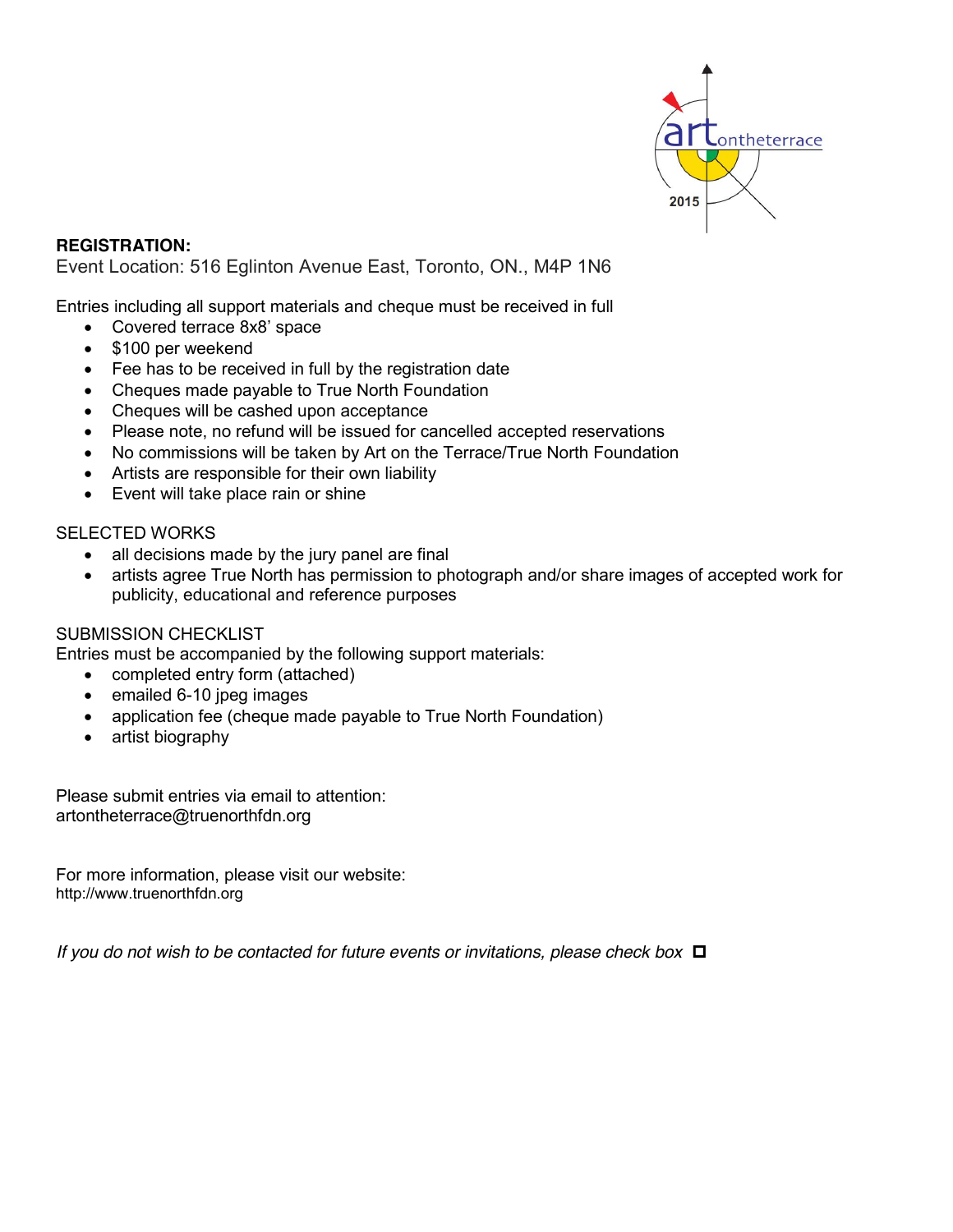

**REGISTRATION:**  Event Location: 516 Eglinton Avenue East, Toronto, ON., M4P 1N6

Entries including all support materials and cheque must be received in full

- Covered terrace 8x8' space
- \$100 per weekend
- Fee has to be received in full by the registration date
- Cheques made payable to True North Foundation
- Cheques will be cashed upon acceptance
- Please note, no refund will be issued for cancelled accepted reservations
- No commissions will be taken by Art on the Terrace/True North Foundation
- Artists are responsible for their own liability
- Event will take place rain or shine

## SELECTED WORKS

- all decisions made by the jury panel are final
- artists agree True North has permission to photograph and/or share images of accepted work for publicity, educational and reference purposes

## SUBMISSION CHECKLIST

Entries must be accompanied by the following support materials:

- completed entry form (attached)
- emailed 6-10 jpeg images
- application fee (cheque made payable to True North Foundation)
- artist biography

Please submit entries via email to attention: artontheterrace@truenorthfdn.org

For more information, please visit our website: http://www.truenorthfdn.org

*If you do not wish to be contacted for future events or invitations, please check box*